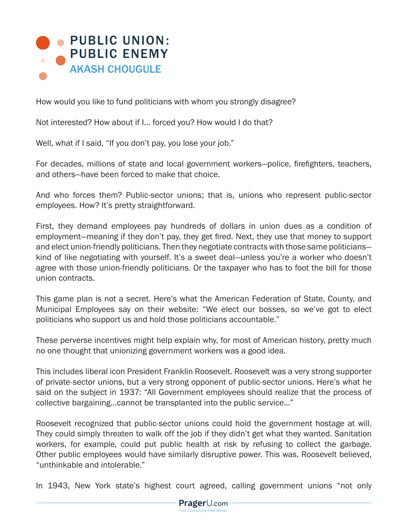

How would you like to fund politicians with whom you strongly disagree?

Not interested? How about if I… forced you? How would I do that?

Well, what if I said, "If you don't pay, you lose your job."

For decades, millions of state and local government workers—police, firefighters, teachers, and others—have been forced to make that choice.

And who forces them? Public-sector unions; that is, unions who represent public-sector employees. How? It's pretty straightforward.

First, they demand employees pay hundreds of dollars in union dues as a condition of employment—meaning if they don't pay, they get fired. Next, they use that money to support and elect union-friendly politicians. Then they negotiate contracts with those same politicians kind of like negotiating with yourself. It's a sweet deal—unless you're a worker who doesn't agree with those union-friendly politicians. Or the taxpayer who has to foot the bill for those union contracts.

This game plan is not a secret. Here's what the American Federation of State, County, and Municipal Employees say on their website: "We elect our bosses, so we've got to elect politicians who support us and hold those politicians accountable."

These perverse incentives might help explain why, for most of American history, pretty much no one thought that unionizing government workers was a good idea.

This includes liberal icon President Franklin Roosevelt. Roosevelt was a very strong supporter of private-sector unions, but a very strong opponent of public-sector unions. Here's what he said on the subject in 1937: "All Government employees should realize that the process of collective bargaining…cannot be transplanted into the public service..."

Roosevelt recognized that public-sector unions could hold the government hostage at will. They could simply threaten to walk off the job if they didn't get what they wanted. Sanitation workers, for example, could put public health at risk by refusing to collect the garbage. Other public employees would have similarly disruptive power. This was, Roosevelt believed, "unthinkable and intolerable."

In 1943, New York state's highest court agreed, calling government unions "not only